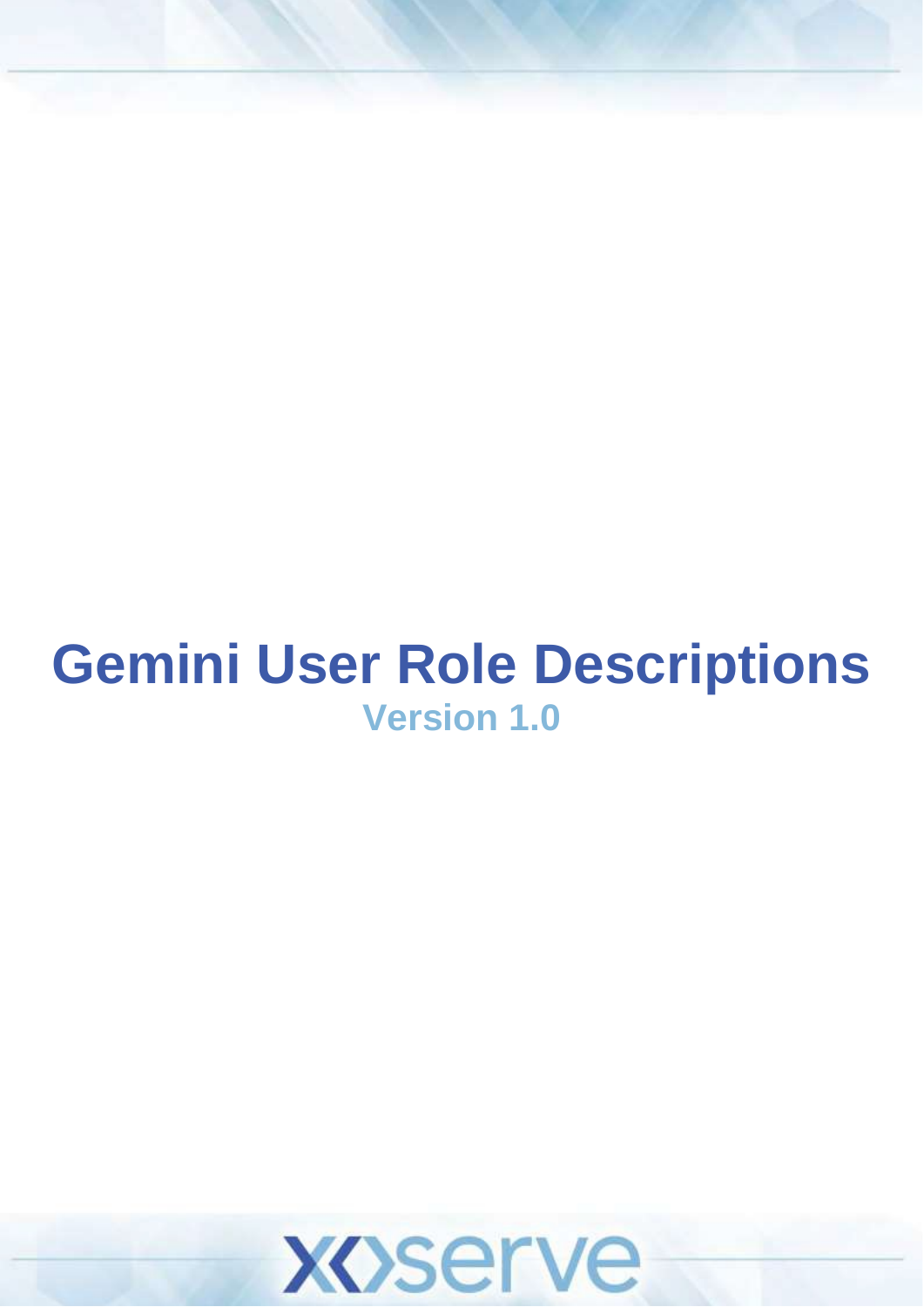# **Gemini User Role Descriptions Version 1.0**

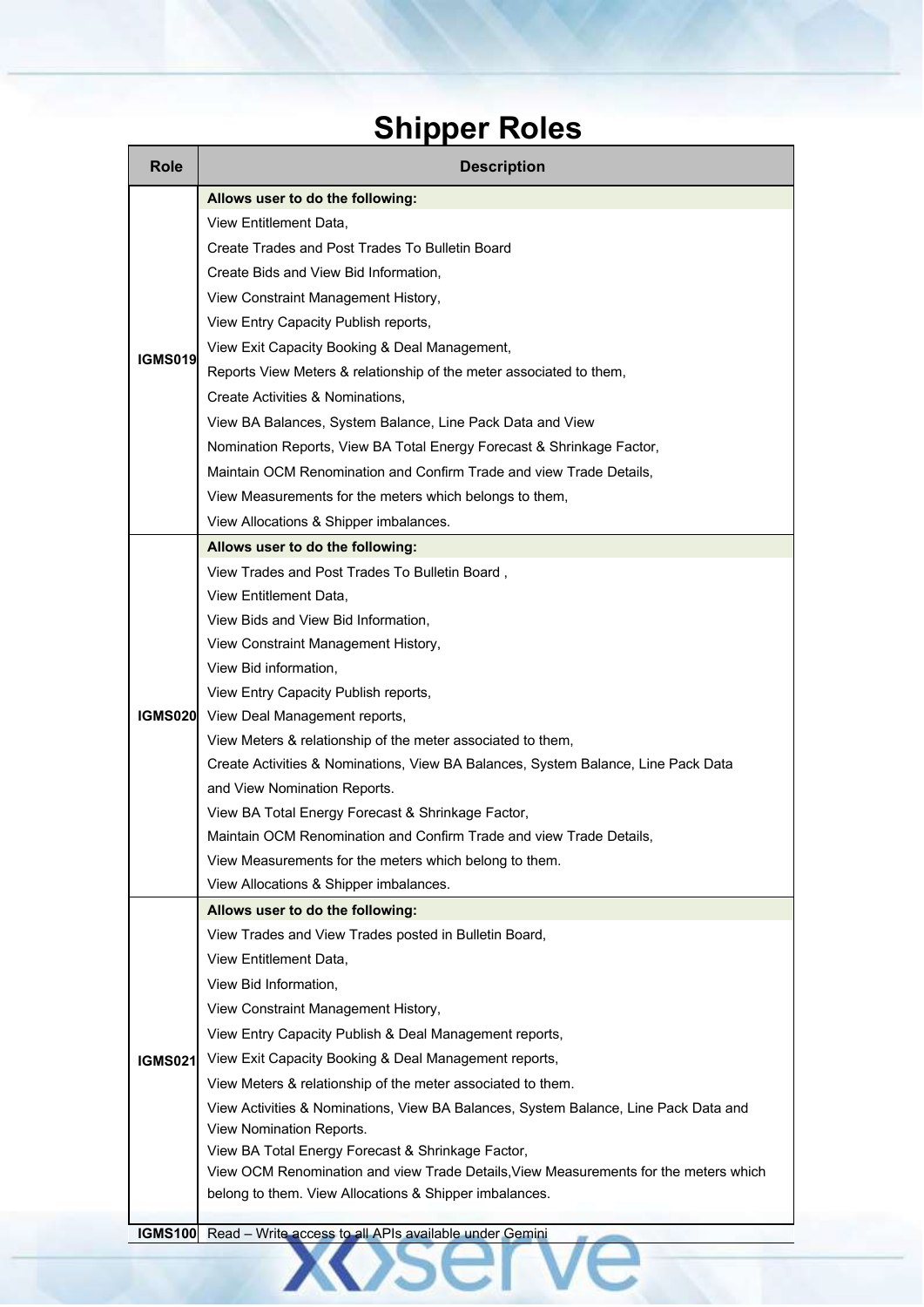### **Shipper Roles**

| <b>Role</b>     | <b>Description</b>                                                                   |  |  |  |
|-----------------|--------------------------------------------------------------------------------------|--|--|--|
|                 | Allows user to do the following:                                                     |  |  |  |
|                 | View Entitlement Data,                                                               |  |  |  |
|                 | Create Trades and Post Trades To Bulletin Board                                      |  |  |  |
|                 | Create Bids and View Bid Information,                                                |  |  |  |
|                 | View Constraint Management History,                                                  |  |  |  |
| <b>IGMS019</b>  | View Entry Capacity Publish reports,                                                 |  |  |  |
|                 | View Exit Capacity Booking & Deal Management,                                        |  |  |  |
|                 | Reports View Meters & relationship of the meter associated to them,                  |  |  |  |
|                 | Create Activities & Nominations,                                                     |  |  |  |
|                 | View BA Balances, System Balance, Line Pack Data and View                            |  |  |  |
|                 | Nomination Reports, View BA Total Energy Forecast & Shrinkage Factor,                |  |  |  |
|                 | Maintain OCM Renomination and Confirm Trade and view Trade Details,                  |  |  |  |
|                 | View Measurements for the meters which belongs to them,                              |  |  |  |
|                 | View Allocations & Shipper imbalances.                                               |  |  |  |
|                 | Allows user to do the following:                                                     |  |  |  |
|                 | View Trades and Post Trades To Bulletin Board,                                       |  |  |  |
|                 | View Entitlement Data,                                                               |  |  |  |
|                 | View Bids and View Bid Information,                                                  |  |  |  |
|                 | View Constraint Management History,                                                  |  |  |  |
|                 | View Bid information,                                                                |  |  |  |
|                 | View Entry Capacity Publish reports,                                                 |  |  |  |
| <b>IGMS020I</b> | View Deal Management reports,                                                        |  |  |  |
|                 | View Meters & relationship of the meter associated to them,                          |  |  |  |
|                 | Create Activities & Nominations, View BA Balances, System Balance, Line Pack Data    |  |  |  |
|                 | and View Nomination Reports.                                                         |  |  |  |
|                 | View BA Total Energy Forecast & Shrinkage Factor,                                    |  |  |  |
|                 | Maintain OCM Renomination and Confirm Trade and view Trade Details.                  |  |  |  |
|                 | View Measurements for the meters which belong to them.                               |  |  |  |
|                 | View Allocations & Shipper imbalances.                                               |  |  |  |
|                 | Allows user to do the following:                                                     |  |  |  |
|                 | View Trades and View Trades posted in Bulletin Board,                                |  |  |  |
|                 | View Entitlement Data,                                                               |  |  |  |
|                 | View Bid Information,                                                                |  |  |  |
|                 | View Constraint Management History,                                                  |  |  |  |
|                 | View Entry Capacity Publish & Deal Management reports,                               |  |  |  |
| <b>IGMS021</b>  | View Exit Capacity Booking & Deal Management reports,                                |  |  |  |
|                 | View Meters & relationship of the meter associated to them.                          |  |  |  |
|                 | View Activities & Nominations, View BA Balances, System Balance, Line Pack Data and  |  |  |  |
|                 | View Nomination Reports.<br>View BA Total Energy Forecast & Shrinkage Factor,        |  |  |  |
|                 | View OCM Renomination and view Trade Details, View Measurements for the meters which |  |  |  |
|                 | belong to them. View Allocations & Shipper imbalances.                               |  |  |  |
|                 |                                                                                      |  |  |  |
| <b>IGMS100</b>  | Read - Write access to all APIs available under Gemini                               |  |  |  |
|                 |                                                                                      |  |  |  |
|                 |                                                                                      |  |  |  |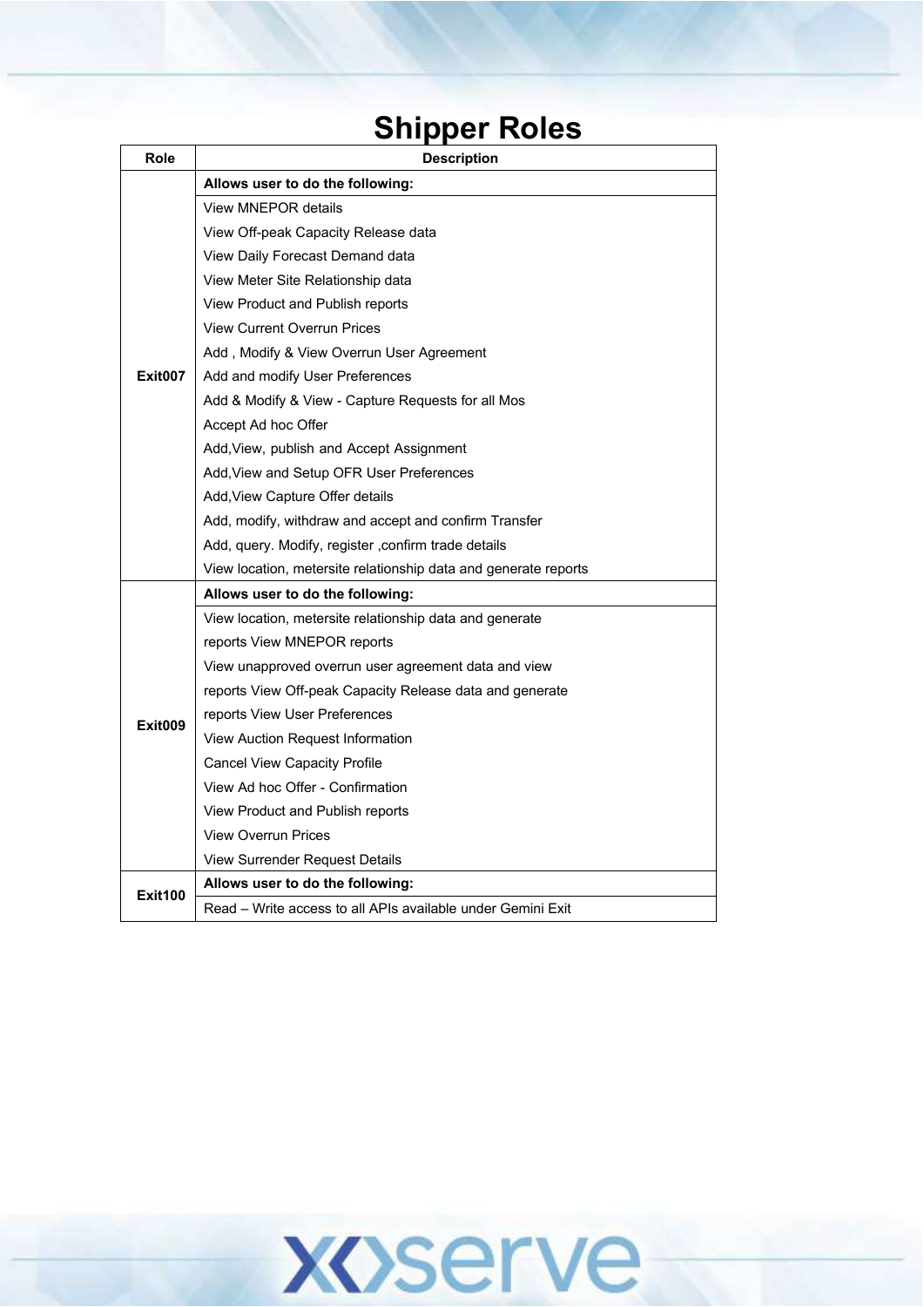#### **Shipper Roles**

| <b>Role</b>    | <b>Description</b>                                              |
|----------------|-----------------------------------------------------------------|
|                | Allows user to do the following:                                |
|                | View MNEPOR details                                             |
|                | View Off-peak Capacity Release data                             |
|                | View Daily Forecast Demand data                                 |
|                | View Meter Site Relationship data                               |
|                | View Product and Publish reports                                |
|                | View Current Overrun Prices                                     |
|                | Add, Modify & View Overrun User Agreement                       |
| Exit007        | Add and modify User Preferences                                 |
|                | Add & Modify & View - Capture Requests for all Mos              |
|                | Accept Ad hoc Offer                                             |
|                | Add, View, publish and Accept Assignment                        |
|                | Add, View and Setup OFR User Preferences                        |
|                | Add, View Capture Offer details                                 |
|                | Add, modify, withdraw and accept and confirm Transfer           |
|                | Add, query. Modify, register , confirm trade details            |
|                | View location, metersite relationship data and generate reports |
|                | Allows user to do the following:                                |
|                | View location, metersite relationship data and generate         |
|                | reports View MNEPOR reports                                     |
|                | View unapproved overrun user agreement data and view            |
|                | reports View Off-peak Capacity Release data and generate        |
| Exit009        | reports View User Preferences                                   |
|                | View Auction Request Information                                |
|                | <b>Cancel View Capacity Profile</b>                             |
|                | View Ad hoc Offer - Confirmation                                |
|                | View Product and Publish reports                                |
|                | <b>View Overrun Prices</b>                                      |
|                | View Surrender Request Details                                  |
| <b>Exit100</b> | Allows user to do the following:                                |
|                | Read - Write access to all APIs available under Gemini Exit     |

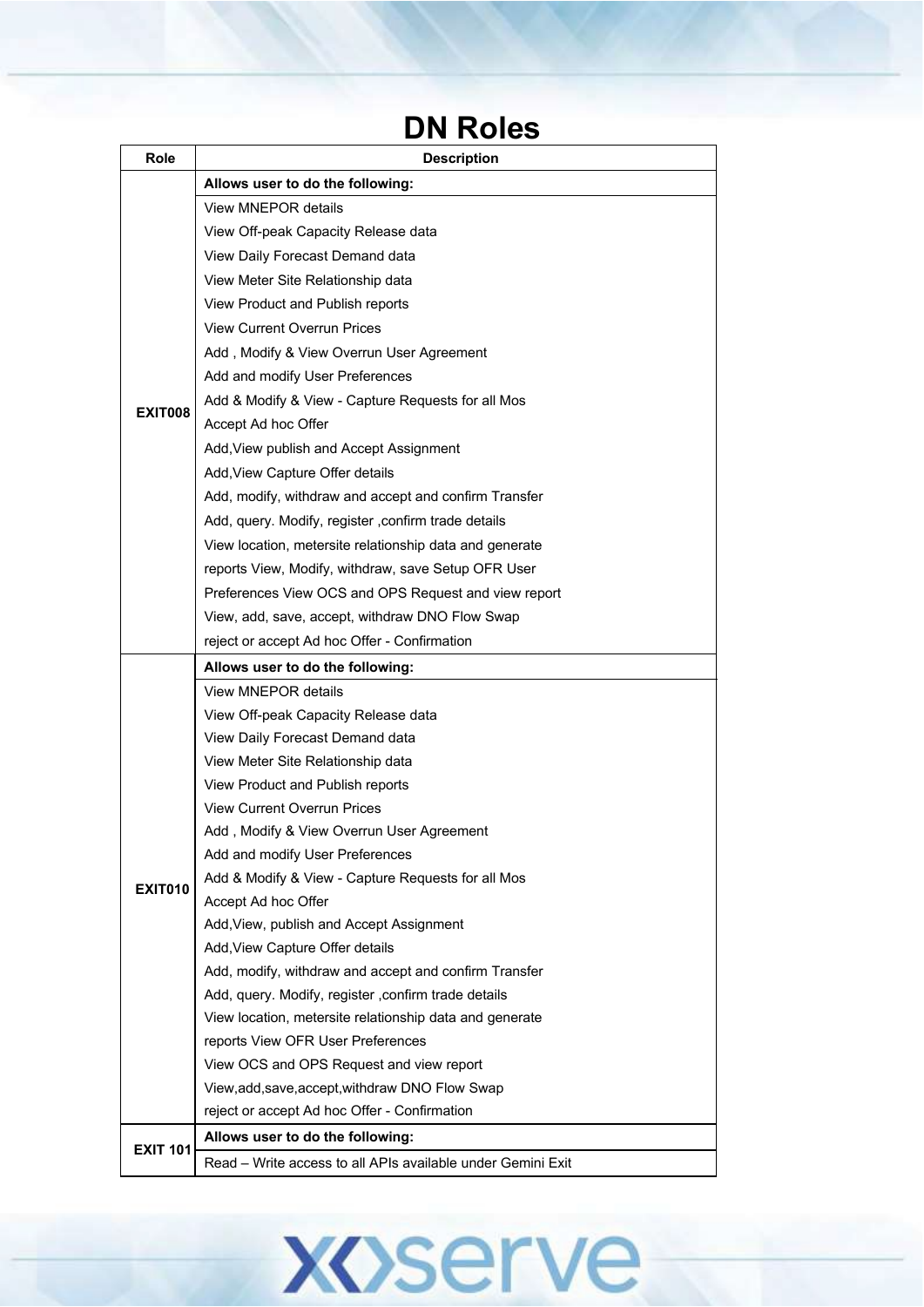#### **DN Roles**

| Role            | <b>Description</b>                                                                              |
|-----------------|-------------------------------------------------------------------------------------------------|
|                 | Allows user to do the following:                                                                |
|                 | <b>View MNEPOR details</b>                                                                      |
|                 | View Off-peak Capacity Release data                                                             |
|                 | View Daily Forecast Demand data                                                                 |
|                 | View Meter Site Relationship data                                                               |
|                 | View Product and Publish reports                                                                |
|                 | <b>View Current Overrun Prices</b>                                                              |
|                 | Add, Modify & View Overrun User Agreement                                                       |
|                 | Add and modify User Preferences                                                                 |
|                 | Add & Modify & View - Capture Requests for all Mos                                              |
| <b>EXIT008</b>  | Accept Ad hoc Offer                                                                             |
|                 | Add, View publish and Accept Assignment                                                         |
|                 | Add, View Capture Offer details                                                                 |
|                 | Add, modify, withdraw and accept and confirm Transfer                                           |
|                 | Add, query. Modify, register, confirm trade details                                             |
|                 | View location, metersite relationship data and generate                                         |
|                 | reports View, Modify, withdraw, save Setup OFR User                                             |
|                 | Preferences View OCS and OPS Request and view report                                            |
|                 | View, add, save, accept, withdraw DNO Flow Swap                                                 |
|                 | reject or accept Ad hoc Offer - Confirmation                                                    |
|                 | Allows user to do the following:                                                                |
|                 | <b>View MNEPOR details</b>                                                                      |
|                 | View Off-peak Capacity Release data                                                             |
|                 | View Daily Forecast Demand data                                                                 |
|                 | View Meter Site Relationship data                                                               |
|                 | View Product and Publish reports                                                                |
|                 | <b>View Current Overrun Prices</b>                                                              |
|                 | Add, Modify & View Overrun User Agreement                                                       |
|                 | Add and modify User Preferences                                                                 |
| <b>EXIT010</b>  | Add & Modify & View - Capture Requests for all Mos                                              |
|                 | Accept Ad hoc Offer                                                                             |
|                 | Add, View, publish and Accept Assignment                                                        |
|                 | Add, View Capture Offer details                                                                 |
|                 | Add, modify, withdraw and accept and confirm Transfer                                           |
|                 | Add, query. Modify, register, confirm trade details                                             |
|                 | View location, metersite relationship data and generate                                         |
|                 | reports View OFR User Preferences                                                               |
|                 | View OCS and OPS Request and view report                                                        |
|                 | View, add, save, accept, withdraw DNO Flow Swap<br>reject or accept Ad hoc Offer - Confirmation |
|                 | Allows user to do the following:                                                                |
| <b>EXIT 101</b> |                                                                                                 |
|                 | Read - Write access to all APIs available under Gemini Exit                                     |

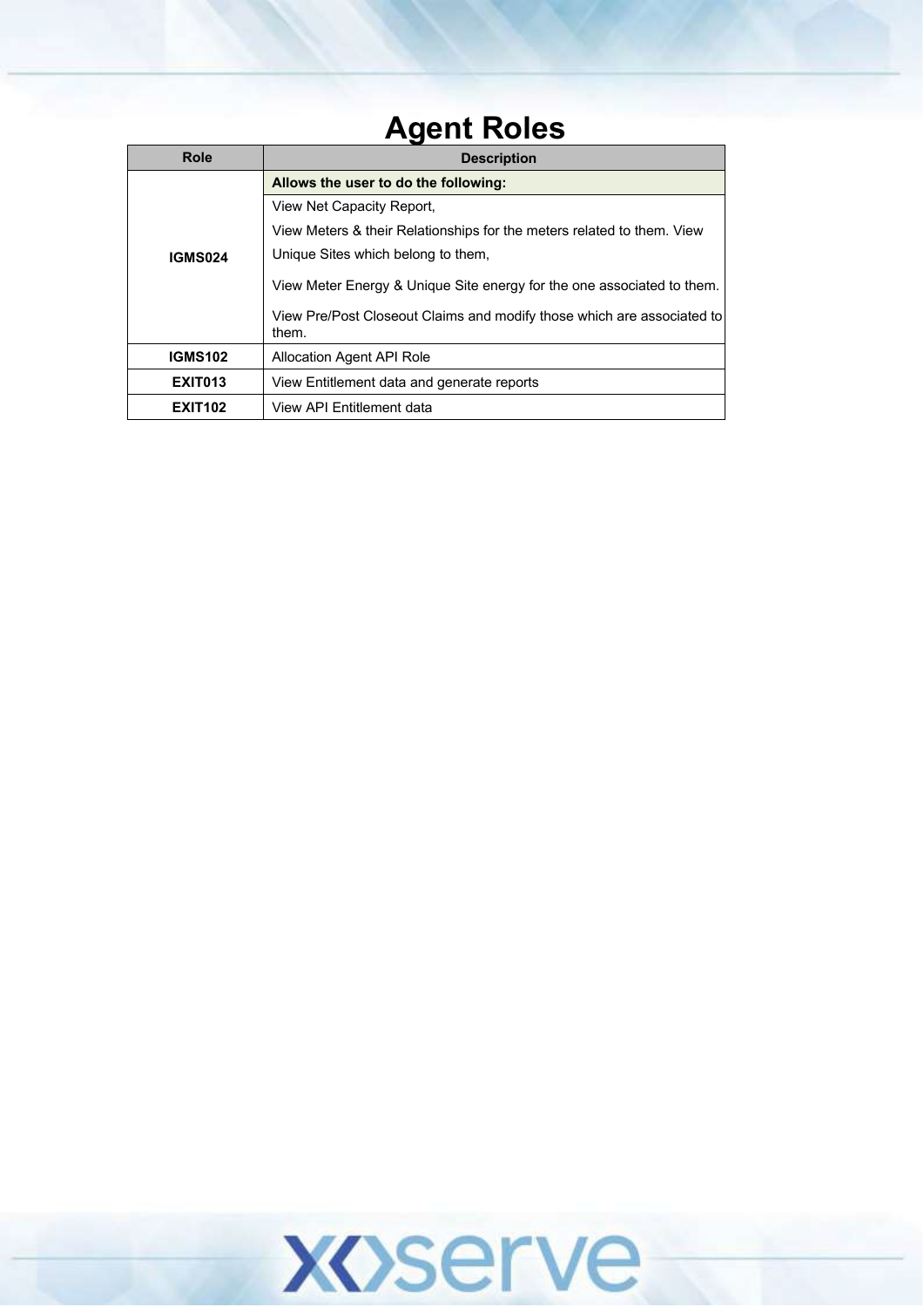#### **Agent Roles**

| <b>Role</b>    | <b>Description</b>                                                              |
|----------------|---------------------------------------------------------------------------------|
|                | Allows the user to do the following:                                            |
|                | View Net Capacity Report,                                                       |
|                | View Meters & their Relationships for the meters related to them. View          |
| <b>IGMS024</b> | Unique Sites which belong to them.                                              |
|                | View Meter Energy & Unique Site energy for the one associated to them.          |
|                | View Pre/Post Closeout Claims and modify those which are associated to<br>them. |
| <b>IGMS102</b> | Allocation Agent API Role                                                       |
| <b>EXIT013</b> | View Entitlement data and generate reports                                      |
| <b>EXIT102</b> | View API Entitlement data                                                       |